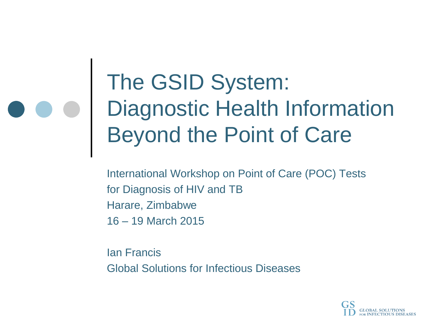### The GSID System: Diagnostic Health Information Beyond the Point of Care

International Workshop on Point of Care (POC) Tests for Diagnosis of HIV and TB Harare, Zimbabwe 16 – 19 March 2015

Ian Francis Global Solutions for Infectious Diseases

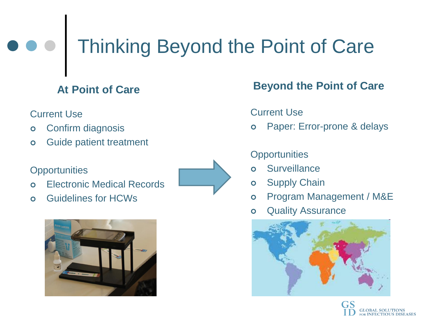## Thinking Beyond the Point of Care

#### **At Point of Care**

#### Current Use

- Confirm diagnosis
- **o** Guide patient treatment

#### **Opportunities**

- Electronic Medical Records
- Guidelines for HCWs





#### **Beyond the Point of Care**

#### Current Use

Paper: Error-prone & delays

#### **Opportunities**

- Surveillance
- **o** Supply Chain
- Program Management / M&E
- **o** Quality Assurance



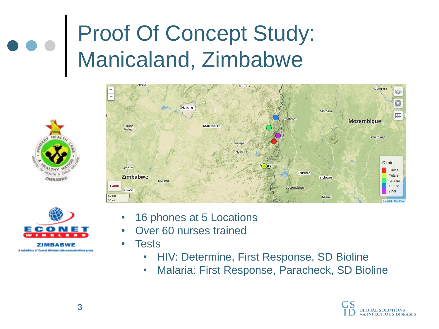## Proof Of Concept Study: Manicaland, Zimbabwe





A subsidiary of Econet Wireless telecommunications grou

- Mutarara Harare Macossa 冊 Mozambique Marondera Golden Valley Inhaminga Rusape Nyazur Clinic Redcliff Hauna Chimoio Mutare Zimbabwe Inchope Nyanga Myuma Auto Tombo ussundenga Gweru Zindi 50 km Miguel  $30 \text{ mi}$ Leaflet | MapE
	- 16 phones at 5 Locations
	- Over 60 nurses trained
	- **Tests** 
		- HIV: Determine, First Response, SD Bioline
		- Malaria: First Response, Paracheck, SD Bioline

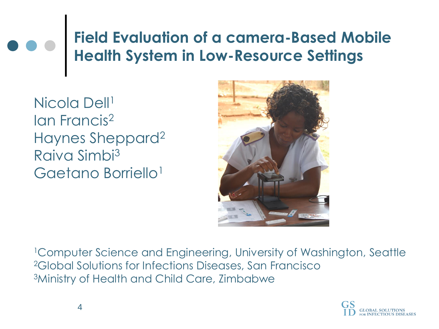#### **Field Evaluation of a camera-Based Mobile Health System in Low-Resource Settings**

Nicola Dell<sup>1</sup> Ian Francis<sup>2</sup> Haynes Sheppard<sup>2</sup> Raiva Simbi<sup>3</sup> Gaetano Borriello<sup>1</sup>



<sup>1</sup>Computer Science and Engineering, University of Washington, Seattle <sup>2</sup>Global Solutions for Infections Diseases, San Francisco <sup>3</sup>Ministry of Health and Child Care, Zimbabwe

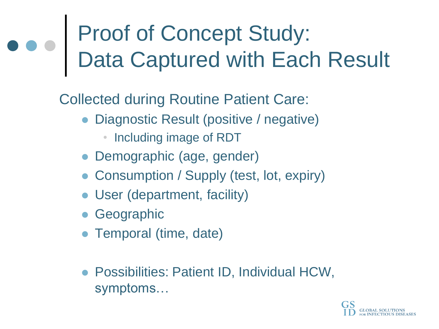## Proof of Concept Study: Data Captured with Each Result

Collected during Routine Patient Care:

- Diagnostic Result (positive / negative)
	- Including image of RDT
- Demographic (age, gender)
- Consumption / Supply (test, lot, expiry)
- User (department, facility)
- Geographic
- Temporal (time, date)
- Possibilities: Patient ID, Individual HCW, symptoms…

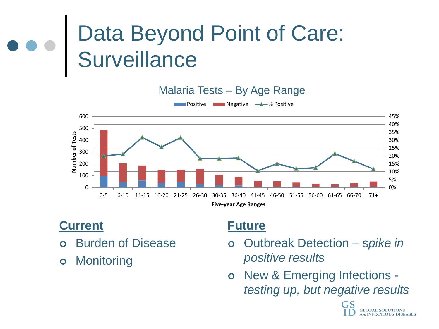## Data Beyond Point of Care: **Surveillance**

Malaria Tests – By Age Range



#### **Current**

- Burden of Disease
- **o** Monitoring

#### **Future**

- Outbreak Detection s*pike in positive results*
- o New & Emerging Infections *testing up, but negative results*

**INFECTIOUS DISEASES**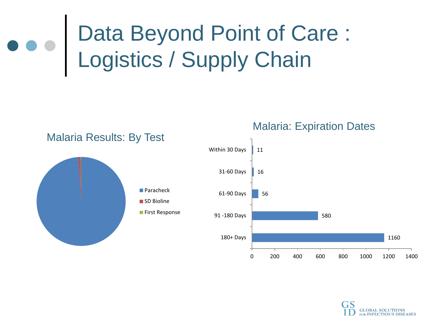## Data Beyond Point of Care : Logistics / Supply Chain



Malaria: Expiration Dates

0 200 400 600 800 1000 1200 1400

**GLOBAL SOLUTIONS** FOR INFECTIOUS DISEASES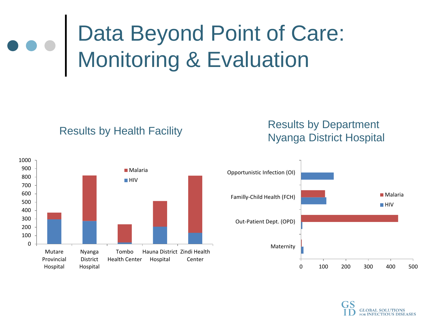# Data Beyond Point of Care: Monitoring & Evaluation









**GLOBAL SOLUTIONS FOR INFECTIOUS DISEASES**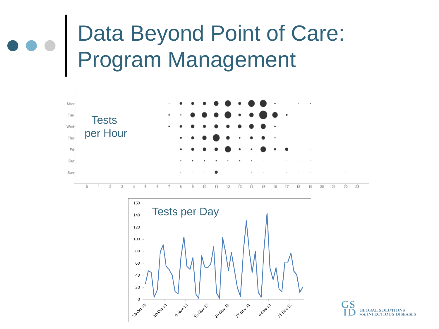## Data Beyond Point of Care: Program Management





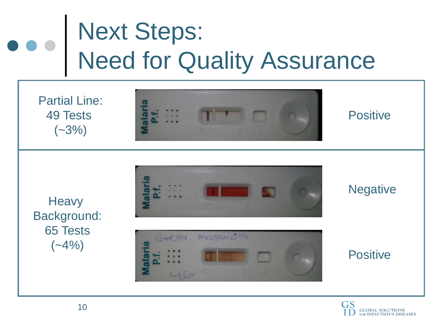# Next Steps: Need for Quality Assurance

Partial Line: 49 Tests  $(-3%)$ 



#### **Positive**

**Heavy** Background: 65 Tests  $(-4%)$ 



Matricio

SLEIK

#### **Negative**

**Positive** 

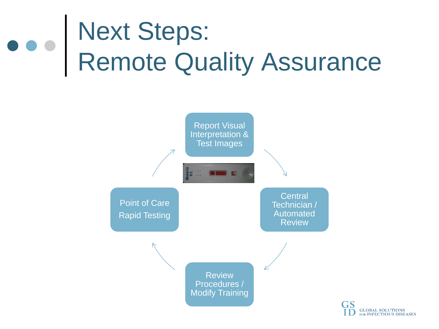# Next Steps: Remote Quality Assurance

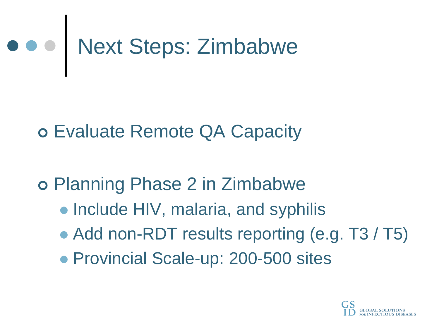

Evaluate Remote QA Capacity

Planning Phase 2 in Zimbabwe

- Include HIV, malaria, and syphilis
- Add non-RDT results reporting (e.g. T3 / T5)
- Provincial Scale-up: 200-500 sites

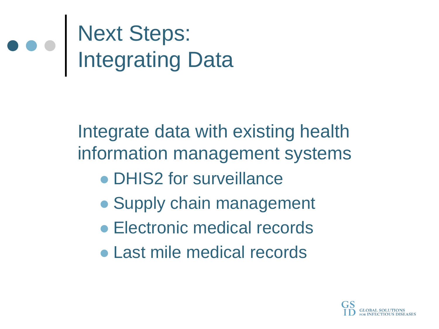# Next Steps: Integrating Data

Integrate data with existing health information management systems

- DHIS2 for surveillance
- Supply chain management
- Electronic medical records
- Last mile medical records

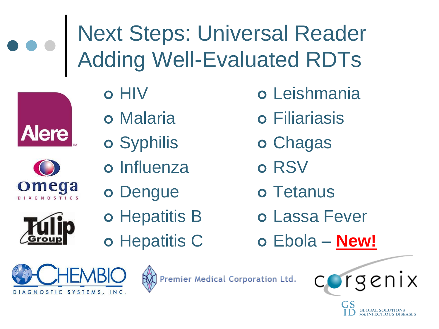





- o Influenza
- o Dengue
- o Hepatitis B
- o Hepatitis C
- Chagas
- o RSV
- o Tetanus
- Lassa Fever
- Ebola **New!**





genix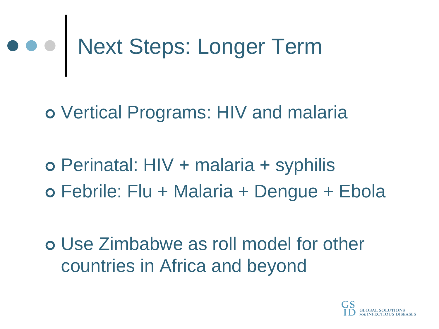# Next Steps: Longer Term

Vertical Programs: HIV and malaria

o Perinatal: HIV + malaria + syphilis Febrile: Flu + Malaria + Dengue + Ebola

 Use Zimbabwe as roll model for other countries in Africa and beyond

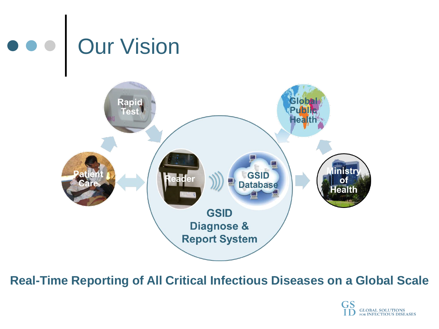

**Real-Time Reporting of All Critical Infectious Diseases on a Global Scale**